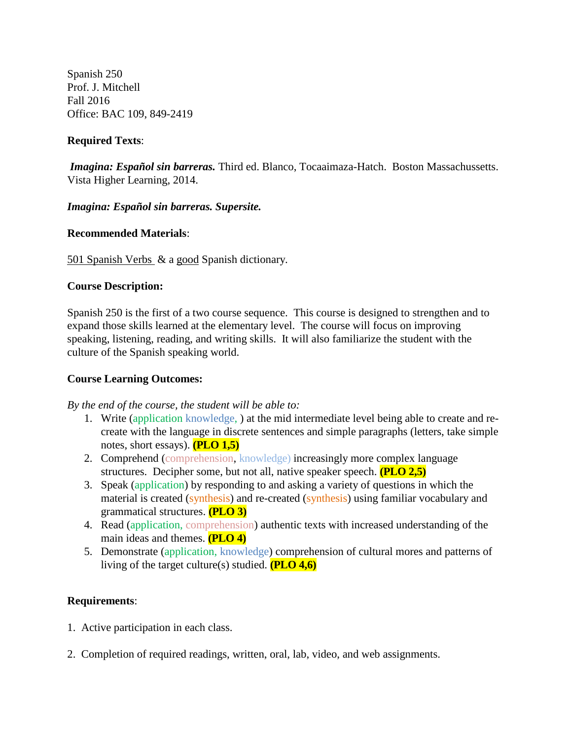Spanish 250 Prof. J. Mitchell Fall 2016 Office: BAC 109, 849-2419

# **Required Texts**:

*Imagina: Español sin barreras.* Third ed. Blanco, Tocaaimaza-Hatch. Boston Massachussetts. Vista Higher Learning, 2014.

## *Imagina: Español sin barreras. Supersite.*

## **Recommended Materials**:

501 Spanish Verbs & a good Spanish dictionary.

## **Course Description:**

Spanish 250 is the first of a two course sequence. This course is designed to strengthen and to expand those skills learned at the elementary level. The course will focus on improving speaking, listening, reading, and writing skills. It will also familiarize the student with the culture of the Spanish speaking world.

## **Course Learning Outcomes:**

*By the end of the course, the student will be able to:*

- 1. Write (application knowledge, ) at the mid intermediate level being able to create and recreate with the language in discrete sentences and simple paragraphs (letters, take simple notes, short essays). **(PLO 1,5)**
- 2. Comprehend (comprehension, knowledge) increasingly more complex language structures. Decipher some, but not all, native speaker speech. **(PLO 2,5)**
- 3. Speak (application) by responding to and asking a variety of questions in which the material is created (synthesis) and re-created (synthesis) using familiar vocabulary and grammatical structures. **(PLO 3)**
- 4. Read (application, comprehension) authentic texts with increased understanding of the main ideas and themes. **(PLO 4)**
- 5. Demonstrate (application, knowledge) comprehension of cultural mores and patterns of living of the target culture(s) studied. **(PLO 4,6)**

# **Requirements**:

- 1. Active participation in each class.
- 2. Completion of required readings, written, oral, lab, video, and web assignments.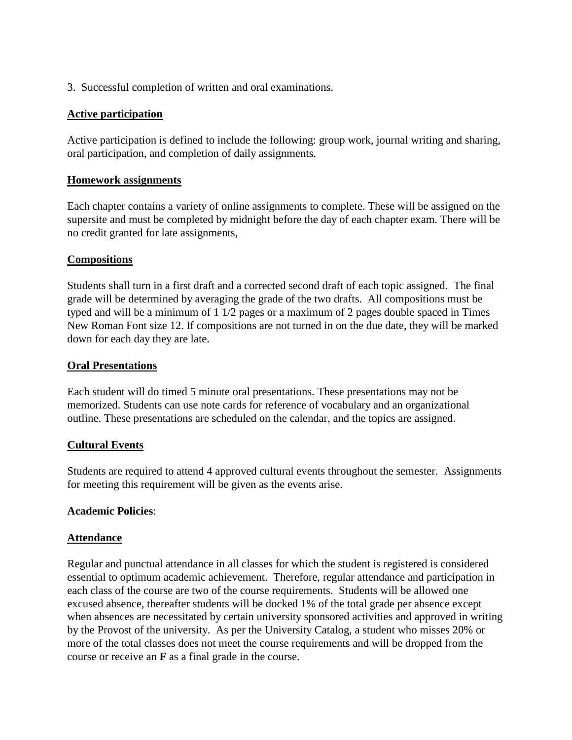3. Successful completion of written and oral examinations.

## **Active participation**

Active participation is defined to include the following: group work, journal writing and sharing, oral participation, and completion of daily assignments.

## **Homework assignments**

Each chapter contains a variety of online assignments to complete. These will be assigned on the supersite and must be completed by midnight before the day of each chapter exam. There will be no credit granted for late assignments,

## **Compositions**

Students shall turn in a first draft and a corrected second draft of each topic assigned. The final grade will be determined by averaging the grade of the two drafts. All compositions must be typed and will be a minimum of 1 1/2 pages or a maximum of 2 pages double spaced in Times New Roman Font size 12. If compositions are not turned in on the due date, they will be marked down for each day they are late.

#### **Oral Presentations**

Each student will do timed 5 minute oral presentations. These presentations may not be memorized. Students can use note cards for reference of vocabulary and an organizational outline. These presentations are scheduled on the calendar, and the topics are assigned.

## **Cultural Events**

Students are required to attend 4 approved cultural events throughout the semester. Assignments for meeting this requirement will be given as the events arise.

## **Academic Policies**:

## **Attendance**

Regular and punctual attendance in all classes for which the student is registered is considered essential to optimum academic achievement. Therefore, regular attendance and participation in each class of the course are two of the course requirements. Students will be allowed one excused absence, thereafter students will be docked 1% of the total grade per absence except when absences are necessitated by certain university sponsored activities and approved in writing by the Provost of the university. As per the University Catalog, a student who misses 20% or more of the total classes does not meet the course requirements and will be dropped from the course or receive an **F** as a final grade in the course.